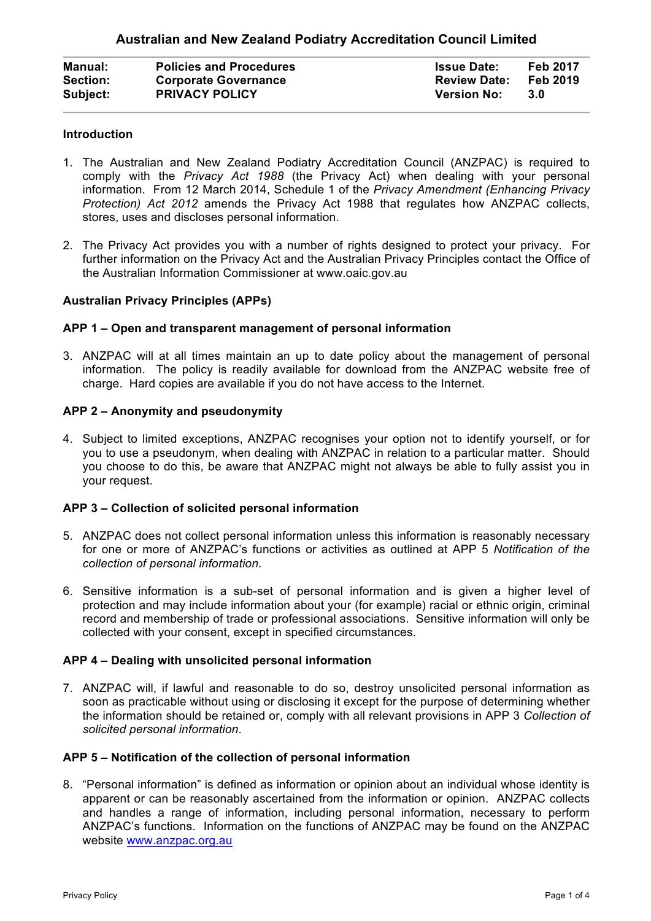| <b>Manual:</b>  | <b>Policies and Procedures</b> | <b>Issue Date:</b>  | Feb 2017 |
|-----------------|--------------------------------|---------------------|----------|
| <b>Section:</b> | <b>Corporate Governance</b>    | <b>Review Date:</b> | Feb 2019 |
| Subject:        | <b>PRIVACY POLICY</b>          | <b>Version No:</b>  | -3.0     |

## **Introduction**

- 1. The Australian and New Zealand Podiatry Accreditation Council (ANZPAC) is required to comply with the *Privacy Act 1988* (the Privacy Act) when dealing with your personal information. From 12 March 2014, Schedule 1 of the *Privacy Amendment (Enhancing Privacy Protection) Act 2012* amends the Privacy Act 1988 that regulates how ANZPAC collects, stores, uses and discloses personal information.
- 2. The Privacy Act provides you with a number of rights designed to protect your privacy. For further information on the Privacy Act and the Australian Privacy Principles contact the Office of the Australian Information Commissioner at www.oaic.gov.au

### **Australian Privacy Principles (APPs)**

### **APP 1 – Open and transparent management of personal information**

3. ANZPAC will at all times maintain an up to date policy about the management of personal information. The policy is readily available for download from the ANZPAC website free of charge. Hard copies are available if you do not have access to the Internet.

### **APP 2 – Anonymity and pseudonymity**

4. Subject to limited exceptions, ANZPAC recognises your option not to identify yourself, or for you to use a pseudonym, when dealing with ANZPAC in relation to a particular matter. Should you choose to do this, be aware that ANZPAC might not always be able to fully assist you in your request.

#### **APP 3 – Collection of solicited personal information**

- 5. ANZPAC does not collect personal information unless this information is reasonably necessary for one or more of ANZPAC's functions or activities as outlined at APP 5 *Notification of the collection of personal information*.
- 6. Sensitive information is a sub-set of personal information and is given a higher level of protection and may include information about your (for example) racial or ethnic origin, criminal record and membership of trade or professional associations. Sensitive information will only be collected with your consent, except in specified circumstances.

#### **APP 4 – Dealing with unsolicited personal information**

7. ANZPAC will, if lawful and reasonable to do so, destroy unsolicited personal information as soon as practicable without using or disclosing it except for the purpose of determining whether the information should be retained or, comply with all relevant provisions in APP 3 *Collection of solicited personal information*.

# **APP 5 – Notification of the collection of personal information**

8. "Personal information" is defined as information or opinion about an individual whose identity is apparent or can be reasonably ascertained from the information or opinion. ANZPAC collects and handles a range of information, including personal information, necessary to perform ANZPAC's functions. Information on the functions of ANZPAC may be found on the ANZPAC website www.anzpac.org.au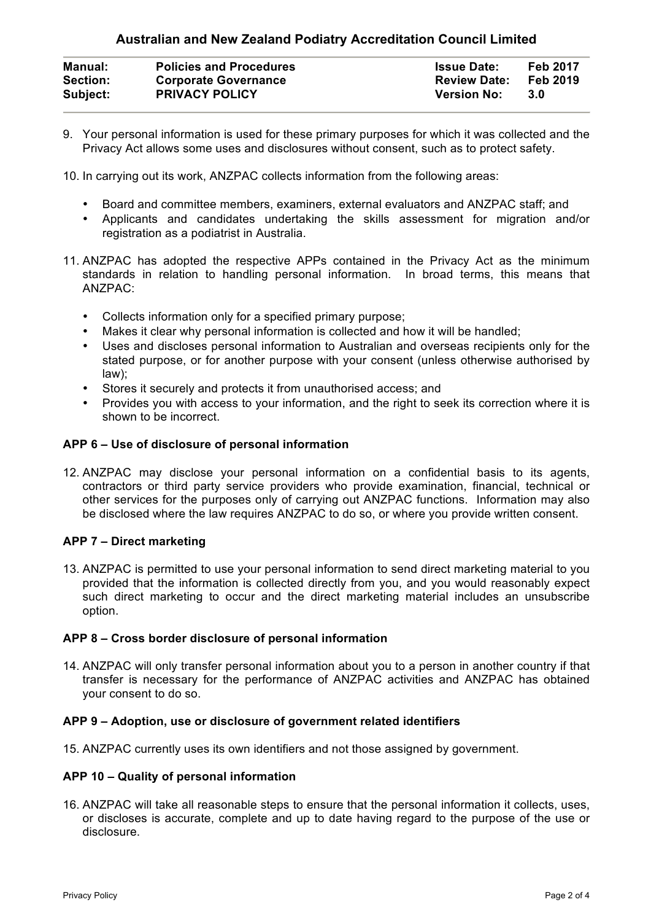# **Australian and New Zealand Podiatry Accreditation Council Limited**

| <b>Manual:</b>  | <b>Policies and Procedures</b> | <b>Issue Date:</b>  | <b>Feb 2017</b> |
|-----------------|--------------------------------|---------------------|-----------------|
| <b>Section:</b> | <b>Corporate Governance</b>    | <b>Review Date:</b> | Feb 2019        |
| Subject:        | <b>PRIVACY POLICY</b>          | <b>Version No:</b>  | -3.0            |

9. Your personal information is used for these primary purposes for which it was collected and the Privacy Act allows some uses and disclosures without consent, such as to protect safety.

10. In carrying out its work, ANZPAC collects information from the following areas:

- Board and committee members, examiners, external evaluators and ANZPAC staff; and
- Applicants and candidates undertaking the skills assessment for migration and/or registration as a podiatrist in Australia.
- 11. ANZPAC has adopted the respective APPs contained in the Privacy Act as the minimum standards in relation to handling personal information. In broad terms, this means that ANZPAC:
	- Collects information only for a specified primary purpose;
	- Makes it clear why personal information is collected and how it will be handled;
	- Uses and discloses personal information to Australian and overseas recipients only for the stated purpose, or for another purpose with your consent (unless otherwise authorised by law);
	- Stores it securely and protects it from unauthorised access; and
	- Provides you with access to your information, and the right to seek its correction where it is shown to be incorrect.

### **APP 6 – Use of disclosure of personal information**

12. ANZPAC may disclose your personal information on a confidential basis to its agents, contractors or third party service providers who provide examination, financial, technical or other services for the purposes only of carrying out ANZPAC functions. Information may also be disclosed where the law requires ANZPAC to do so, or where you provide written consent.

# **APP 7 – Direct marketing**

13. ANZPAC is permitted to use your personal information to send direct marketing material to you provided that the information is collected directly from you, and you would reasonably expect such direct marketing to occur and the direct marketing material includes an unsubscribe option.

#### **APP 8 – Cross border disclosure of personal information**

14. ANZPAC will only transfer personal information about you to a person in another country if that transfer is necessary for the performance of ANZPAC activities and ANZPAC has obtained your consent to do so.

#### **APP 9 – Adoption, use or disclosure of government related identifiers**

15. ANZPAC currently uses its own identifiers and not those assigned by government.

#### **APP 10 – Quality of personal information**

16. ANZPAC will take all reasonable steps to ensure that the personal information it collects, uses, or discloses is accurate, complete and up to date having regard to the purpose of the use or disclosure.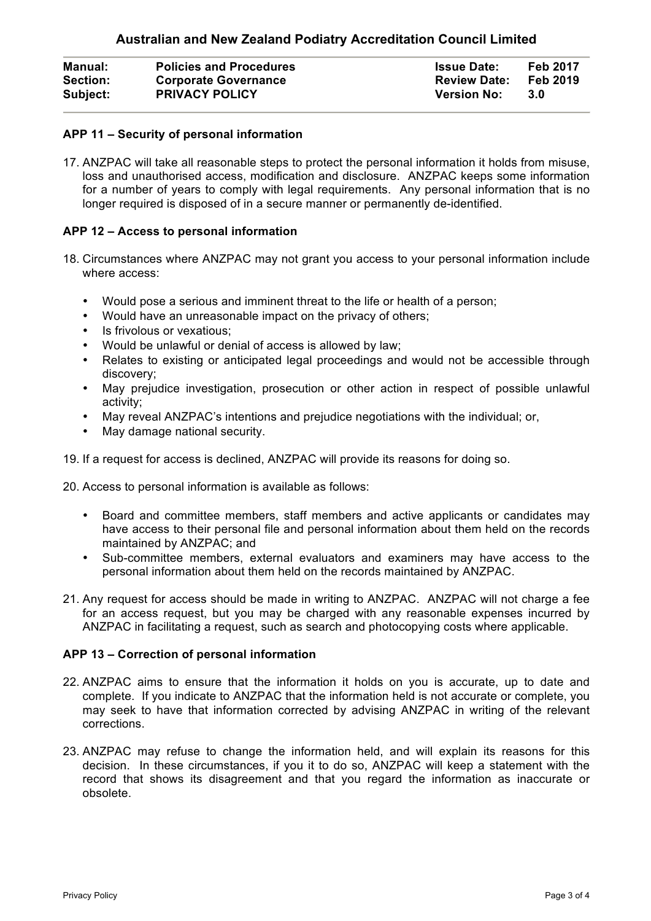| <b>Manual:</b>  | <b>Policies and Procedures</b> | <b>Issue Date:</b>  | <b>Feb 2017</b> |
|-----------------|--------------------------------|---------------------|-----------------|
| <b>Section:</b> | <b>Corporate Governance</b>    | <b>Review Date:</b> | Feb 2019        |
| Subject:        | <b>PRIVACY POLICY</b>          | <b>Version No:</b>  | -3.0            |

# **APP 11 – Security of personal information**

17. ANZPAC will take all reasonable steps to protect the personal information it holds from misuse, loss and unauthorised access, modification and disclosure. ANZPAC keeps some information for a number of years to comply with legal requirements. Any personal information that is no longer required is disposed of in a secure manner or permanently de-identified.

# **APP 12 – Access to personal information**

- 18. Circumstances where ANZPAC may not grant you access to your personal information include where access:
	- Would pose a serious and imminent threat to the life or health of a person;
	- Would have an unreasonable impact on the privacy of others;
	- Is frivolous or vexatious:
	- Would be unlawful or denial of access is allowed by law;
	- Relates to existing or anticipated legal proceedings and would not be accessible through discovery;
	- May prejudice investigation, prosecution or other action in respect of possible unlawful activity;
	- May reveal ANZPAC's intentions and prejudice negotiations with the individual; or,
	- May damage national security.
- 19. If a request for access is declined, ANZPAC will provide its reasons for doing so.

20. Access to personal information is available as follows:

- Board and committee members, staff members and active applicants or candidates may have access to their personal file and personal information about them held on the records maintained by ANZPAC; and
- Sub-committee members, external evaluators and examiners may have access to the personal information about them held on the records maintained by ANZPAC.
- 21. Any request for access should be made in writing to ANZPAC. ANZPAC will not charge a fee for an access request, but you may be charged with any reasonable expenses incurred by ANZPAC in facilitating a request, such as search and photocopying costs where applicable.

# **APP 13 – Correction of personal information**

- 22. ANZPAC aims to ensure that the information it holds on you is accurate, up to date and complete. If you indicate to ANZPAC that the information held is not accurate or complete, you may seek to have that information corrected by advising ANZPAC in writing of the relevant corrections.
- 23. ANZPAC may refuse to change the information held, and will explain its reasons for this decision. In these circumstances, if you it to do so, ANZPAC will keep a statement with the record that shows its disagreement and that you regard the information as inaccurate or obsolete.